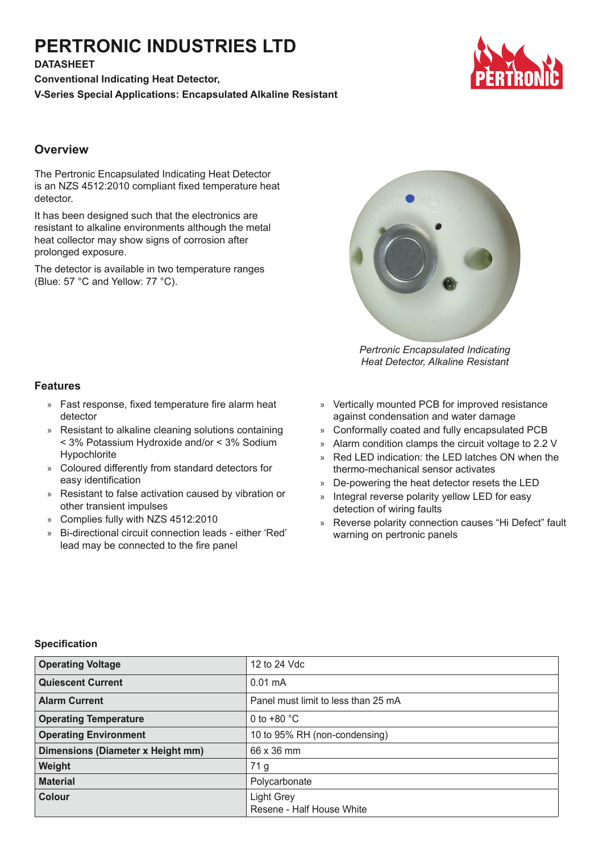# **PERTRONIC INDUSTRIES LTD**

**DATASHEET**

**Conventional Indicating Heat Detector, V-Series Special Applications: Encapsulated Alkaline Resistant**



# **Overview**

The Pertronic Encapsulated Indicating Heat Detector is an NZS 4512:2010 compliant fixed temperature heat detector.

It has been designed such that the electronics are resistant to alkaline environments although the metal heat collector may show signs of corrosion after prolonged exposure.

The detector is available in two temperature ranges (Blue: 57 °C and Yellow: 77 °C).



*Pertronic Encapsulated Indicating Heat Detector, Alkaline Resistant*

## **Features**

- » Fast response, fixed temperature fire alarm heat detector
- » Resistant to alkaline cleaning solutions containing < 3% Potassium Hydroxide and/or < 3% Sodium Hypochlorite
- » Coloured differently from standard detectors for easy identification
- » Resistant to false activation caused by vibration or other transient impulses
- » Complies fully with NZS 4512:2010
- » Bi-directional circuit connection leads either 'Red' lead may be connected to the fire panel
- » Vertically mounted PCB for improved resistance against condensation and water damage
- » Conformally coated and fully encapsulated PCB
- » Alarm condition clamps the circuit voltage to 2.2 V
- » Red LED indication: the LED latches ON when the thermo-mechanical sensor activates
- » De-powering the heat detector resets the LED
- Integral reverse polarity yellow LED for easy detection of wiring faults
- » Reverse polarity connection causes "Hi Defect" fault warning on pertronic panels

#### **Specification**

| <b>Operating Voltage</b>          | 12 to 24 Vdc                        |
|-----------------------------------|-------------------------------------|
| <b>Quiescent Current</b>          | $0.01 \text{ mA}$                   |
| <b>Alarm Current</b>              | Panel must limit to less than 25 mA |
| <b>Operating Temperature</b>      | 0 to $+80$ °C                       |
| <b>Operating Environment</b>      | 10 to 95% RH (non-condensing)       |
| Dimensions (Diameter x Height mm) | 66 x 36 mm                          |
| Weight                            | 71 <sub>g</sub>                     |
| <b>Material</b>                   | Polycarbonate                       |
| <b>Colour</b>                     | Light Grey                          |
|                                   | Resene - Half House White           |